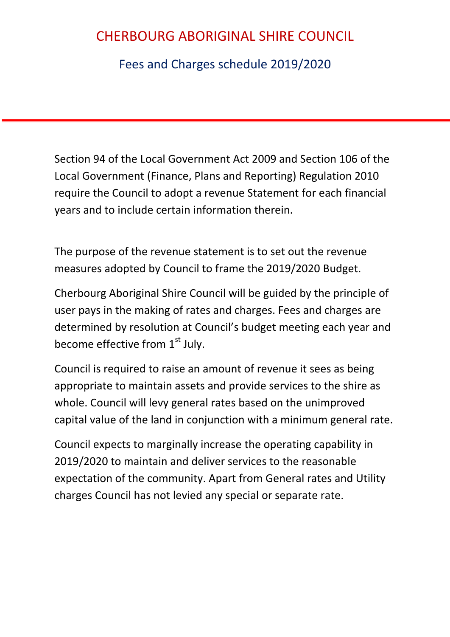Fees and Charges schedule 2019/2020

Section 94 of the Local Government Act 2009 and Section 106 of the Local Government (Finance, Plans and Reporting) Regulation 2010 require the Council to adopt a revenue Statement for each financial years and to include certain information therein.

The purpose of the revenue statement is to set out the revenue measures adopted by Council to frame the 2019/2020 Budget.

Cherbourg Aboriginal Shire Council will be guided by the principle of user pays in the making of rates and charges. Fees and charges are determined by resolution at Council's budget meeting each year and become effective from  $1<sup>st</sup>$  July.

Council is required to raise an amount of revenue it sees as being appropriate to maintain assets and provide services to the shire as whole. Council will levy general rates based on the unimproved capital value of the land in conjunction with a minimum general rate.

Council expects to marginally increase the operating capability in 2019/2020 to maintain and deliver services to the reasonable expectation of the community. Apart from General rates and Utility charges Council has not levied any special or separate rate.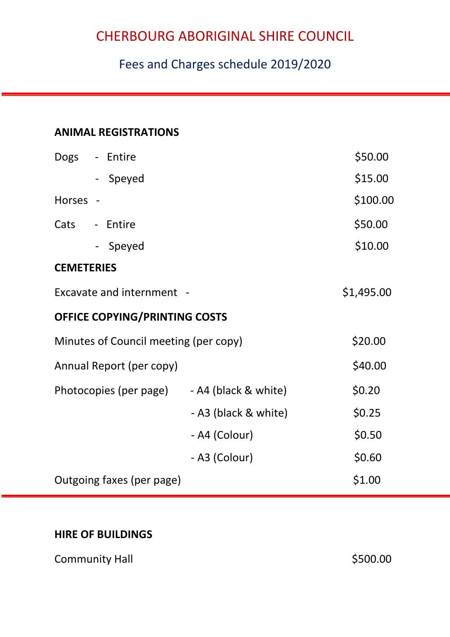## Fees and Charges schedule 2019/2020

### **ANIMAL REGISTRATIONS**

| Dogs                                  | - Entire                      |                      | \$50.00    |
|---------------------------------------|-------------------------------|----------------------|------------|
|                                       | - Speyed                      |                      | \$15.00    |
| <b>Horses</b>                         |                               |                      | \$100.00   |
| Cats                                  | - Entire                      |                      | \$50.00    |
|                                       | - Speyed                      |                      | \$10.00    |
| <b>CEMETERIES</b>                     |                               |                      |            |
|                                       | Excavate and internment -     |                      | \$1,495.00 |
|                                       | OFFICE COPYING/PRINTING COSTS |                      |            |
| Minutes of Council meeting (per copy) |                               |                      | \$20.00    |
|                                       | Annual Report (per copy)      |                      | \$40.00    |
|                                       | Photocopies (per page)        | - A4 (black & white) | \$0.20     |
|                                       |                               | - A3 (black & white) | \$0.25     |
|                                       |                               | - A4 (Colour)        | \$0.50     |
|                                       |                               | - A3 (Colour)        | \$0.60     |
|                                       | Outgoing faxes (per page)     |                      | \$1.00     |

#### **HIRE OF BUILDINGS**

Community Hall **Example 2018** S500.00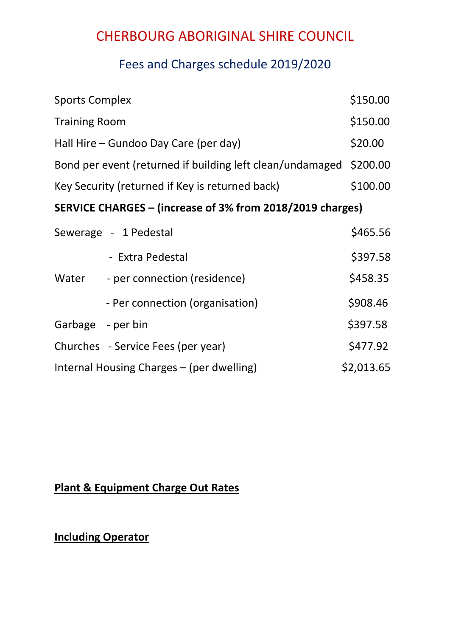### Fees and Charges schedule 2019/2020

| <b>Sports Complex</b>                                     |                                    | \$150.00   |  |  |
|-----------------------------------------------------------|------------------------------------|------------|--|--|
| <b>Training Room</b>                                      |                                    | \$150.00   |  |  |
| Hall Hire – Gundoo Day Care (per day)                     |                                    | \$20.00    |  |  |
| Bond per event (returned if building left clean/undamaged |                                    |            |  |  |
| Key Security (returned if Key is returned back)           |                                    | \$100.00   |  |  |
| SERVICE CHARGES – (increase of 3% from 2018/2019 charges) |                                    |            |  |  |
| Sewerage - 1 Pedestal                                     |                                    | \$465.56   |  |  |
|                                                           | - Extra Pedestal                   | \$397.58   |  |  |
| Water                                                     | - per connection (residence)       | \$458.35   |  |  |
|                                                           | - Per connection (organisation)    | \$908.46   |  |  |
| Garbage - per bin                                         |                                    | \$397.58   |  |  |
|                                                           | Churches - Service Fees (per year) | \$477.92   |  |  |
| Internal Housing Charges – (per dwelling)                 |                                    | \$2,013.65 |  |  |

### **Plant & Equipment Charge Out Rates**

**Including Operator**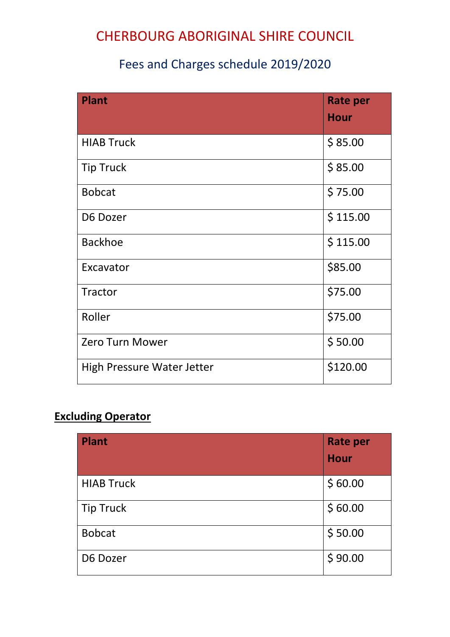## Fees and Charges schedule 2019/2020

| <b>Plant</b>                      | <b>Rate per</b><br><b>Hour</b> |
|-----------------------------------|--------------------------------|
| <b>HIAB Truck</b>                 | \$85.00                        |
| <b>Tip Truck</b>                  | \$85.00                        |
| <b>Bobcat</b>                     | \$75.00                        |
| D6 Dozer                          | \$115.00                       |
| <b>Backhoe</b>                    | \$115.00                       |
| Excavator                         | \$85.00                        |
| Tractor                           | \$75.00                        |
| Roller                            | \$75.00                        |
| <b>Zero Turn Mower</b>            | \$50.00                        |
| <b>High Pressure Water Jetter</b> | \$120.00                       |

### **Excluding Operator**

| <b>Plant</b>      | <b>Rate per</b> |
|-------------------|-----------------|
|                   | <b>Hour</b>     |
| <b>HIAB Truck</b> | \$60.00         |
| <b>Tip Truck</b>  | \$60.00         |
| <b>Bobcat</b>     | \$50.00         |
| D6 Dozer          | \$90.00         |